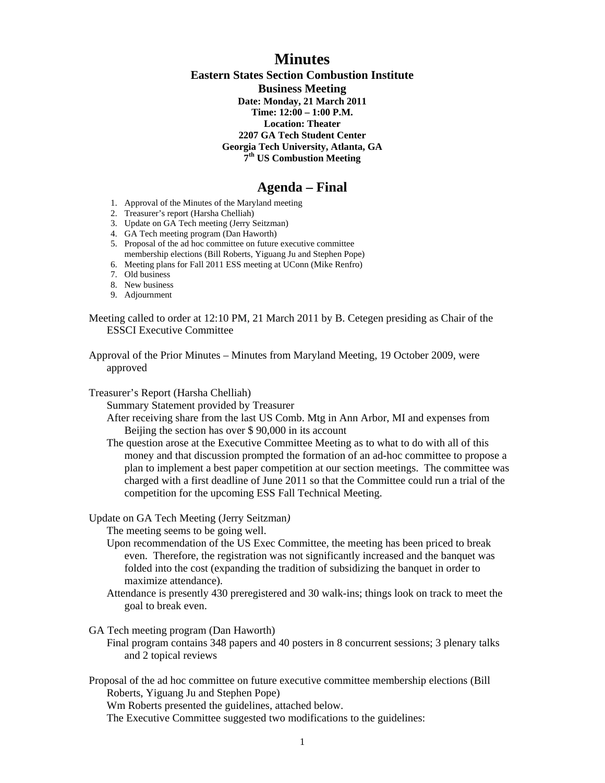## **Minutes**

**Eastern States Section Combustion Institute Business Meeting Date: Monday, 21 March 2011 Time: 12:00 – 1:00 P.M. Location: Theater 2207 GA Tech Student Center Georgia Tech University, Atlanta, GA 7th US Combustion Meeting** 

### **Agenda – Final**

- 1. Approval of the Minutes of the Maryland meeting
- 2. Treasurer's report (Harsha Chelliah)
- 3. Update on GA Tech meeting (Jerry Seitzman)
- 4. GA Tech meeting program (Dan Haworth)
- 5. Proposal of the ad hoc committee on future executive committee membership elections (Bill Roberts, Yiguang Ju and Stephen Pope)
- 6. Meeting plans for Fall 2011 ESS meeting at UConn (Mike Renfro)
- 7. Old business
- 8. New business
- 9. Adjournment

Meeting called to order at 12:10 PM, 21 March 2011 by B. Cetegen presiding as Chair of the ESSCI Executive Committee

Approval of the Prior Minutes – Minutes from Maryland Meeting, 19 October 2009, were approved

Treasurer's Report (Harsha Chelliah)

Summary Statement provided by Treasurer

After receiving share from the last US Comb. Mtg in Ann Arbor, MI and expenses from Beijing the section has over \$ 90,000 in its account

The question arose at the Executive Committee Meeting as to what to do with all of this money and that discussion prompted the formation of an ad-hoc committee to propose a plan to implement a best paper competition at our section meetings. The committee was charged with a first deadline of June 2011 so that the Committee could run a trial of the competition for the upcoming ESS Fall Technical Meeting.

Update on GA Tech Meeting (Jerry Seitzman*)*

The meeting seems to be going well.

- Upon recommendation of the US Exec Committee, the meeting has been priced to break even. Therefore, the registration was not significantly increased and the banquet was folded into the cost (expanding the tradition of subsidizing the banquet in order to maximize attendance).
- Attendance is presently 430 preregistered and 30 walk-ins; things look on track to meet the goal to break even.

GA Tech meeting program (Dan Haworth)

Final program contains 348 papers and 40 posters in 8 concurrent sessions; 3 plenary talks and 2 topical reviews

Proposal of the ad hoc committee on future executive committee membership elections (Bill Roberts, Yiguang Ju and Stephen Pope)

Wm Roberts presented the guidelines, attached below.

The Executive Committee suggested two modifications to the guidelines: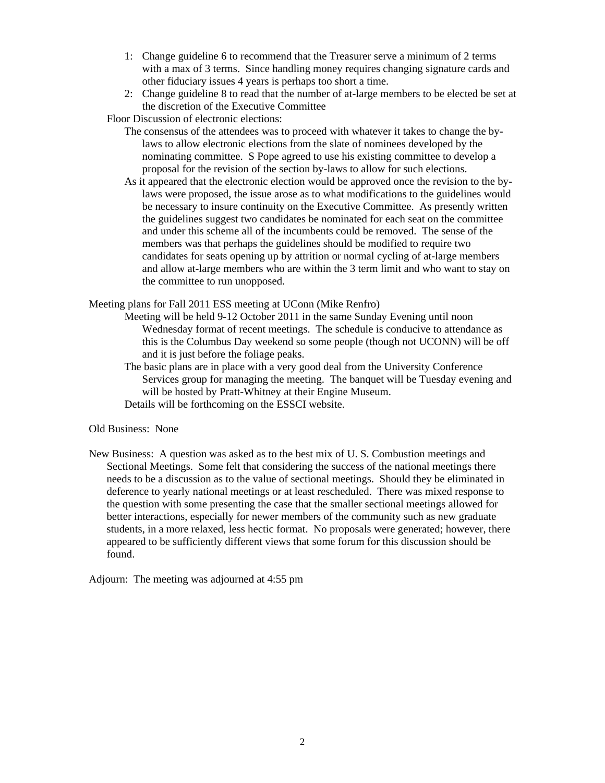- 1: Change guideline 6 to recommend that the Treasurer serve a minimum of 2 terms with a max of 3 terms. Since handling money requires changing signature cards and other fiduciary issues 4 years is perhaps too short a time.
- 2: Change guideline 8 to read that the number of at-large members to be elected be set at the discretion of the Executive Committee

Floor Discussion of electronic elections:

- The consensus of the attendees was to proceed with whatever it takes to change the bylaws to allow electronic elections from the slate of nominees developed by the nominating committee. S Pope agreed to use his existing committee to develop a proposal for the revision of the section by-laws to allow for such elections.
- As it appeared that the electronic election would be approved once the revision to the bylaws were proposed, the issue arose as to what modifications to the guidelines would be necessary to insure continuity on the Executive Committee. As presently written the guidelines suggest two candidates be nominated for each seat on the committee and under this scheme all of the incumbents could be removed. The sense of the members was that perhaps the guidelines should be modified to require two candidates for seats opening up by attrition or normal cycling of at-large members and allow at-large members who are within the 3 term limit and who want to stay on the committee to run unopposed.

Meeting plans for Fall 2011 ESS meeting at UConn (Mike Renfro)

- Meeting will be held 9-12 October 2011 in the same Sunday Evening until noon Wednesday format of recent meetings. The schedule is conducive to attendance as this is the Columbus Day weekend so some people (though not UCONN) will be off and it is just before the foliage peaks.
- The basic plans are in place with a very good deal from the University Conference Services group for managing the meeting. The banquet will be Tuesday evening and will be hosted by Pratt-Whitney at their Engine Museum.

Details will be forthcoming on the ESSCI website.

#### Old Business: None

New Business: A question was asked as to the best mix of U. S. Combustion meetings and Sectional Meetings. Some felt that considering the success of the national meetings there needs to be a discussion as to the value of sectional meetings. Should they be eliminated in deference to yearly national meetings or at least rescheduled. There was mixed response to the question with some presenting the case that the smaller sectional meetings allowed for better interactions, especially for newer members of the community such as new graduate students, in a more relaxed, less hectic format. No proposals were generated; however, there appeared to be sufficiently different views that some forum for this discussion should be found.

Adjourn: The meeting was adjourned at 4:55 pm